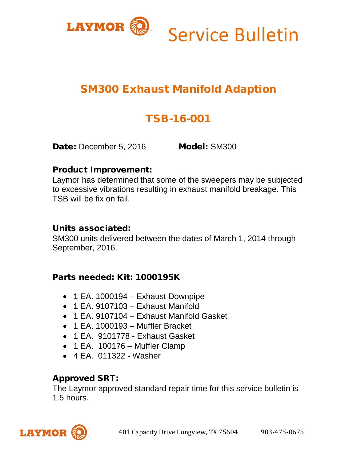

# Service Bulletin

## SM300 Exhaust Manifold Adaption

# TSB-16-001

Date: December 5, 2016 Model: SM300

#### Product Improvement:

Laymor has determined that some of the sweepers may be subjected to excessive vibrations resulting in exhaust manifold breakage. This TSB will be fix on fail.

#### Units associated:

SM300 units delivered between the dates of March 1, 2014 through September, 2016.

## Parts needed: Kit: 1000195K

- 1 EA. 1000194 Exhaust Downpipe
- 1 EA. 9107103 Exhaust Manifold
- 1 EA. 9107104 Exhaust Manifold Gasket
- 1 EA. 1000193 Muffler Bracket
- 1 EA. 9101778 Exhaust Gasket
- 1 EA. 100176 Muffler Clamp
- 4 EA. 011322 Washer

## Approved SRT:

The Laymor approved standard repair time for this service bulletin is 1.5 hours.

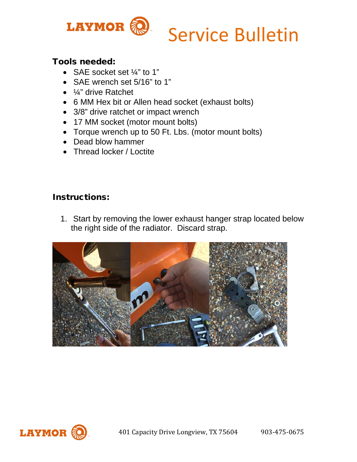

#### Tools needed:

- SAE socket set 1/4" to 1"
- SAE wrench set 5/16" to 1"
- ¼" drive Ratchet
- 6 MM Hex bit or Allen head socket (exhaust bolts)
- 3/8" drive ratchet or impact wrench
- 17 MM socket (motor mount bolts)
- Torque wrench up to 50 Ft. Lbs. (motor mount bolts)
- Dead blow hammer
- Thread locker / Loctite

#### Instructions:

1. Start by removing the lower exhaust hanger strap located below the right side of the radiator. Discard strap.



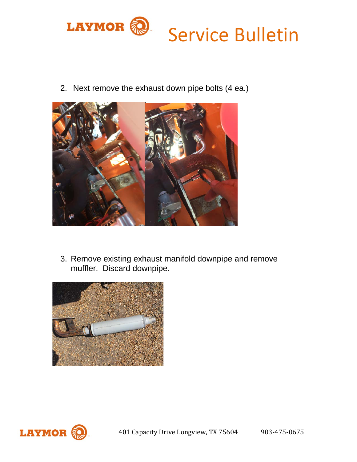

2. Next remove the exhaust down pipe bolts (4 ea.)



3. Remove existing exhaust manifold downpipe and remove muffler. Discard downpipe.



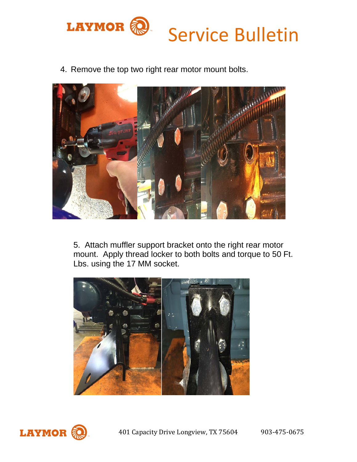

4. Remove the top two right rear motor mount bolts.



5. Attach muffler support bracket onto the right rear motor mount. Apply thread locker to both bolts and torque to 50 Ft. Lbs. using the 17 MM socket.



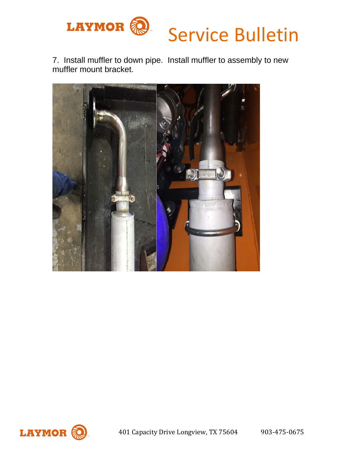

7. Install muffler to down pipe. Install muffler to assembly to new muffler mount bracket.



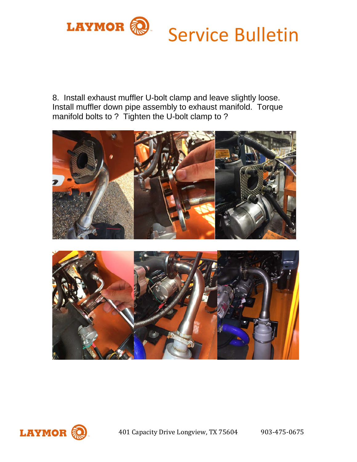

8. Install exhaust muffler U-bolt clamp and leave slightly loose. Install muffler down pipe assembly to exhaust manifold. Torque manifold bolts to ? Tighten the U-bolt clamp to ?







401 Capacity Drive Longview, TX 75604 903-475-0675